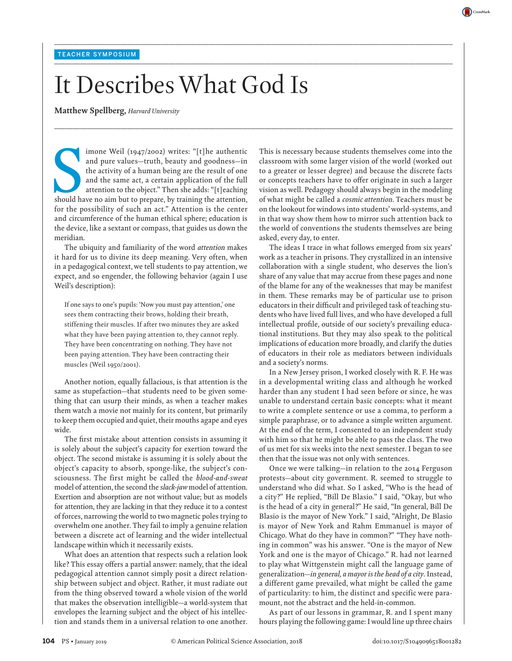# It Describes What God Is

**........................................................................................................................................................................................................................................................................................................**

**........................................................................................................................................................................................................................................................................................................**

**........................................................................................................................................................................................................................................................................................................**

**Matthew Spellberg,** *Harvard University*

Should have no aim but to prepare, by training the attention, the activity of a human being are the result of one and the same act, a certain application of the full attention to the object." Then she adds: "[t] eaching sh imone Weil (1947/2002) writes: "[t]he authentic and pure values—truth, beauty and goodness—in the activity of a human being are the result of one and the same act, a certain application of the full attention to the object." Then she adds: "[t]eaching for the possibility of such an act." Attention is the center and circumference of the human ethical sphere; education is the device, like a sextant or compass, that guides us down the meridian.

The ubiquity and familiarity of the word *attention* makes it hard for us to divine its deep meaning. Very often, when in a pedagogical context, we tell students to pay attention, we expect, and so engender, the following behavior (again I use Weil's description):

If one says to one's pupils: 'Now you must pay attention,' one sees them contracting their brows, holding their breath, stiffening their muscles. If after two minutes they are asked what they have been paying attention to, they cannot reply. They have been concentrating on nothing. They have not been paying attention. They have been contracting their muscles (Weil 1950/2001).

Another notion, equally fallacious, is that attention is the same as stupefaction—that students need to be given something that can usurp their minds, as when a teacher makes them watch a movie not mainly for its content, but primarily to keep them occupied and quiet, their mouths agape and eyes wide.

The first mistake about attention consists in assuming it is solely about the subject's capacity for exertion toward the object. The second mistake is assuming it is solely about the object's capacity to absorb, sponge-like, the subject's consciousness. The first might be called the *blood-and-sweat* model of attention, the second the *slack-jaw* model of attention. Exertion and absorption are not without value; but as models for attention, they are lacking in that they reduce it to a contest of forces, narrowing the world to two magnetic poles trying to overwhelm one another. They fail to imply a genuine relation between a discrete act of learning and the wider intellectual landscape within which it necessarily exists.

What does an attention that respects such a relation look like? This essay offers a partial answer: namely, that the ideal pedagogical attention cannot simply posit a direct relationship between subject and object. Rather, it must radiate out from the thing observed toward a whole vision of the world that makes the observation intelligible—a world-system that envelopes the learning subject and the object of his intellection and stands them in a universal relation to one another. This is necessary because students themselves come into the classroom with some larger vision of the world (worked out to a greater or lesser degree) and because the discrete facts or concepts teachers have to offer originate in such a larger vision as well. Pedagogy should always begin in the modeling of what might be called a *cosmic attention*. Teachers must be on the lookout for windows into students' world-systems, and in that way show them how to mirror such attention back to the world of conventions the students themselves are being asked, every day, to enter.

CrossMarl

The ideas I trace in what follows emerged from six years' work as a teacher in prisons. They crystallized in an intensive collaboration with a single student, who deserves the lion's share of any value that may accrue from these pages and none of the blame for any of the weaknesses that may be manifest in them. These remarks may be of particular use to prison educators in their difficult and privileged task of teaching students who have lived full lives, and who have developed a full intellectual profile, outside of our society's prevailing educational institutions. But they may also speak to the political implications of education more broadly, and clarify the duties of educators in their role as mediators between individuals and a society's norms.

In a New Jersey prison, I worked closely with R. F. He was in a developmental writing class and although he worked harder than any student I had seen before or since, he was unable to understand certain basic concepts: what it meant to write a complete sentence or use a comma, to perform a simple paraphrase, or to advance a simple written argument. At the end of the term, I consented to an independent study with him so that he might be able to pass the class. The two of us met for six weeks into the next semester. I began to see then that the issue was not only with sentences.

Once we were talking—in relation to the 2014 Ferguson protests—about city government. R. seemed to struggle to understand who did what. So I asked, "Who is the head of a city?" He replied, "Bill De Blasio." I said, "Okay, but who is the head of a city in general?" He said, "In general, Bill De Blasio is the mayor of New York." I said, "Alright, De Blasio is mayor of New York and Rahm Emmanuel is mayor of Chicago. What do they have in common?" "They have nothing in common" was his answer. "One is the mayor of New York and one is the mayor of Chicago." R. had not learned to play what Wittgenstein might call the language game of generalization—*in general, a mayor is the head of a city*. Instead, a different game prevailed, what might be called the game of particularity: to him, the distinct and specific were paramount, not the abstract and the held-in-common.

As part of our lessons in grammar, R. and I spent many hours playing the following game: I would line up three chairs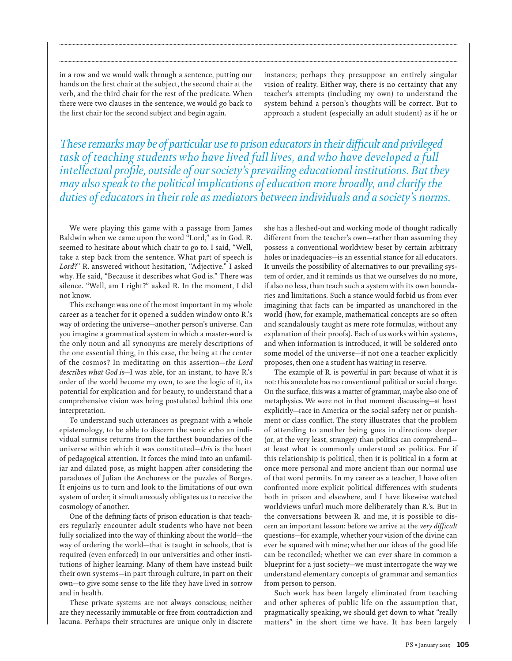in a row and we would walk through a sentence, putting our hands on the first chair at the subject, the second chair at the verb, and the third chair for the rest of the predicate. When there were two clauses in the sentence, we would go back to the first chair for the second subject and begin again.

instances; perhaps they presuppose an entirely singular vision of reality. Either way, there is no certainty that any teacher's attempts (including my own) to understand the system behind a person's thoughts will be correct. But to approach a student (especially an adult student) as if he or

*These remarks may be of particular use to prison educators in their difficult and privileged*  task of teaching students who have lived full lives, and who have developed a full *intellectual profile, outside of our society's prevailing educational institutions. But they may also speak to the political implications of education more broadly, and clarify the duties of educators in their role as mediators between individuals and a society's norms.*

**........................................................................................................................................................................................................................................................................................................**

**........................................................................................................................................................................................................................................................................................................**

We were playing this game with a passage from James Baldwin when we came upon the word "Lord," as in God. R. seemed to hesitate about which chair to go to. I said, "Well, take a step back from the sentence. What part of speech is *Lord*?" R. answered without hesitation, "Adjective." I asked why. He said, "Because it describes what God is." There was silence. "Well, am I right?" asked R. In the moment, I did not know.

This exchange was one of the most important in my whole career as a teacher for it opened a sudden window onto R.'s way of ordering the universe—another person's universe. Can you imagine a grammatical system in which a master-word is the only noun and all synonyms are merely descriptions of the one essential thing, in this case, the being at the center of the cosmos? In meditating on this assertion—*the Lord describes what God is*—I was able, for an instant, to have R.'s order of the world become my own, to see the logic of it, its potential for explication and for beauty, to understand that a comprehensive vision was being postulated behind this one interpretation.

To understand such utterances as pregnant with a whole epistemology, to be able to discern the sonic echo an individual surmise returns from the farthest boundaries of the universe within which it was constituted—*this* is the heart of pedagogical attention. It forces the mind into an unfamiliar and dilated pose, as might happen after considering the paradoxes of Julian the Anchoress or the puzzles of Borges. It enjoins us to turn and look to the limitations of our own system of order; it simultaneously obligates us to receive the cosmology of another.

One of the defining facts of prison education is that teachers regularly encounter adult students who have not been fully socialized into the way of thinking about the world—the way of ordering the world—that is taught in schools, that is required (even enforced) in our universities and other institutions of higher learning. Many of them have instead built their own systems—in part through culture, in part on their own—to give some sense to the life they have lived in sorrow and in health.

These private systems are not always conscious; neither are they necessarily immutable or free from contradiction and lacuna. Perhaps their structures are unique only in discrete she has a fleshed-out and working mode of thought radically different from the teacher's own—rather than assuming they possess a conventional worldview beset by certain arbitrary holes or inadequacies—is an essential stance for all educators. It unveils the possibility of alternatives to our prevailing system of order, and it reminds us that we ourselves do no more, if also no less, than teach such a system with its own boundaries and limitations. Such a stance would forbid us from ever imagining that facts can be imparted as unanchored in the world (how, for example, mathematical concepts are so often and scandalously taught as mere rote formulas, without any explanation of their proofs). Each of us works within systems, and when information is introduced, it will be soldered onto some model of the universe—if not one a teacher explicitly proposes, then one a student has waiting in reserve.

The example of R. is powerful in part because of what it is not: this anecdote has no conventional political or social charge. On the surface, this was a matter of grammar, maybe also one of metaphysics. We were not in that moment discussing—at least explicitly—race in America or the social safety net or punishment or class conflict. The story illustrates that the problem of attending to another being goes in directions deeper (or, at the very least, stranger) than politics can comprehend at least what is commonly understood as politics. For if this relationship is political, then it is political in a form at once more personal and more ancient than our normal use of that word permits. In my career as a teacher, I have often confronted more explicit political differences with students both in prison and elsewhere, and I have likewise watched worldviews unfurl much more deliberately than R.'s. But in the conversations between R. and me, it is possible to discern an important lesson: before we arrive at the *very difficult* questions—for example, whether your vision of the divine can ever be squared with mine; whether our ideas of the good life can be reconciled; whether we can ever share in common a blueprint for a just society—we must interrogate the way we understand elementary concepts of grammar and semantics from person to person.

Such work has been largely eliminated from teaching and other spheres of public life on the assumption that, pragmatically speaking, we should get down to what "really matters" in the short time we have. It has been largely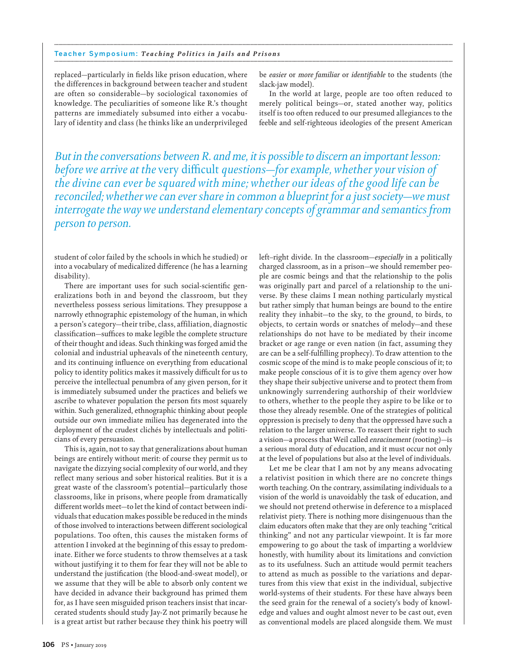### Teacher Symposium: Teaching Politics in Jails and Prisons

replaced—particularly in fields like prison education, where the differences in background between teacher and student are often so considerable-by sociological taxonomies of knowledge. The peculiarities of someone like R's thought patterns are immediately subsumed into either a vocabulary of identity and class (he thinks like an underprivileged

be easier or more familiar or identifiable to the students (the slack-jaw model).

In the world at large, people are too often reduced to merely political beings-or, stated another way, politics itself is too often reduced to our presumed allegiances to the feeble and self-righteous ideologies of the present American

But in the conversations between R. and me, it is possible to discern an important lesson: before we arrive at the very difficult questions—for example, whether your vision of the divine can ever be squared with mine; whether our ideas of the good life can be reconciled; whether we can ever share in common a blueprint for a just society—we must interrogate the way we understand elementary concepts of grammar and semantics from person to person.

student of color failed by the schools in which he studied) or into a vocabulary of medicalized difference (he has a learning disability).

There are important uses for such social-scientific generalizations both in and beyond the classroom, but they nevertheless possess serious limitations. They presuppose a narrowly ethnographic epistemology of the human, in which a person's category-their tribe, class, affiliation, diagnostic classification-suffices to make legible the complete structure of their thought and ideas. Such thinking was forged amid the colonial and industrial upheavals of the nineteenth century, and its continuing influence on everything from educational policy to identity politics makes it massively difficult for us to perceive the intellectual penumbra of any given person, for it is immediately subsumed under the practices and beliefs we ascribe to whatever population the person fits most squarely within. Such generalized, ethnographic thinking about people outside our own immediate milieu has degenerated into the deployment of the crudest clichés by intellectuals and politicians of every persuasion.

This is, again, not to say that generalizations about human beings are entirely without merit: of course they permit us to navigate the dizzying social complexity of our world, and they reflect many serious and sober historical realities. But it is a great waste of the classroom's potential-particularly those classrooms, like in prisons, where people from dramatically different worlds meet-to let the kind of contact between individuals that education makes possible be reduced in the minds of those involved to interactions between different sociological populations. Too often, this causes the mistaken forms of attention I invoked at the beginning of this essay to predominate. Either we force students to throw themselves at a task without justifying it to them for fear they will not be able to understand the justification (the blood-and-sweat model), or we assume that they will be able to absorb only content we have decided in advance their background has primed them for, as I have seen misguided prison teachers insist that incarcerated students should study Jay-Z not primarily because he is a great artist but rather because they think his poetry will left-right divide. In the classroom-especially in a politically charged classroom, as in a prison-we should remember people are cosmic beings and that the relationship to the polis was originally part and parcel of a relationship to the universe. By these claims I mean nothing particularly mystical but rather simply that human beings are bound to the entire reality they inhabit—to the sky, to the ground, to birds, to objects, to certain words or snatches of melody-and these relationships do not have to be mediated by their income bracket or age range or even nation (in fact, assuming they are can be a self-fulfilling prophecy). To draw attention to the cosmic scope of the mind is to make people conscious of it; to make people conscious of it is to give them agency over how they shape their subjective universe and to protect them from unknowingly surrendering authorship of their worldview to others, whether to the people they aspire to be like or to those they already resemble. One of the strategies of political oppression is precisely to deny that the oppressed have such a relation to the larger universe. To reassert their right to such a vision-a process that Weil called enracinement (rooting)-is a serious moral duty of education, and it must occur not only at the level of populations but also at the level of individuals.

Let me be clear that I am not by any means advocating a relativist position in which there are no concrete things worth teaching. On the contrary, assimilating individuals to a vision of the world is unavoidably the task of education, and we should not pretend otherwise in deference to a misplaced relativist piety. There is nothing more disingenuous than the claim educators often make that they are only teaching "critical thinking" and not any particular viewpoint. It is far more empowering to go about the task of imparting a worldview honestly, with humility about its limitations and conviction as to its usefulness. Such an attitude would permit teachers to attend as much as possible to the variations and departures from this view that exist in the individual, subjective world-systems of their students. For these have always been the seed grain for the renewal of a society's body of knowledge and values and ought almost never to be cast out, even as conventional models are placed alongside them. We must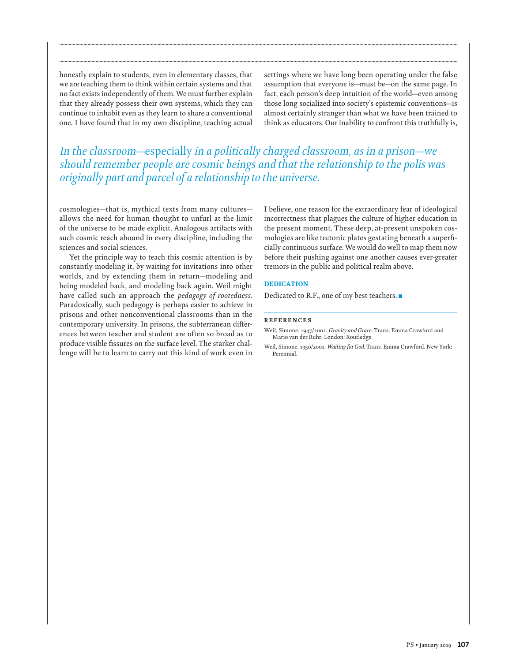honestly explain to students, even in elementary classes, that we are teaching them to think within certain systems and that no fact exists independently of them. We must further explain that they already possess their own systems, which they can continue to inhabit even as they learn to share a conventional one. I have found that in my own discipline, teaching actual settings where we have long been operating under the false assumption that everyone is—must be—on the same page. In fact, each person's deep intuition of the world—even among those long socialized into society's epistemic conventions—is almost certainly stranger than what we have been trained to think as educators. Our inability to confront this truthfully is,

## *In the classroom—*especially *in a politically charged classroom, as in a prison—we should remember people are cosmic beings and that the relationship to the polis was originally part and parcel of a relationship to the universe.*

**........................................................................................................................................................................................................................................................................................................**

**........................................................................................................................................................................................................................................................................................................**

cosmologies—that is, mythical texts from many cultures allows the need for human thought to unfurl at the limit of the universe to be made explicit. Analogous artifacts with such cosmic reach abound in every discipline, including the sciences and social sciences.

Yet the principle way to teach this cosmic attention is by constantly modeling it, by waiting for invitations into other worlds, and by extending them in return—modeling and being modeled back, and modeling back again. Weil might have called such an approach the *pedagogy of rootedness*. Paradoxically, such pedagogy is perhaps easier to achieve in prisons and other nonconventional classrooms than in the contemporary university. In prisons, the subterranean differences between teacher and student are often so broad as to produce visible fissures on the surface level. The starker challenge will be to learn to carry out this kind of work even in I believe, one reason for the extraordinary fear of ideological incorrectness that plagues the culture of higher education in the present moment. These deep, at-present unspoken cosmologies are like tectonic plates gestating beneath a superficially continuous surface. We would do well to map them now before their pushing against one another causes ever-greater tremors in the public and political realm above.

## DEDICATION

Dedicated to R.F., one of my best teachers. $\blacksquare$ 

#### **REFERENCES**

Weil, Simone. 1947/2002. *Gravity and Grace*. Trans. Emma Crawford and Mario van der Ruhr. London: Routledge.

Weil, Simone. 1950/2001. *Waiting for God*. Trans. Emma Crawford. New York: Perennial.